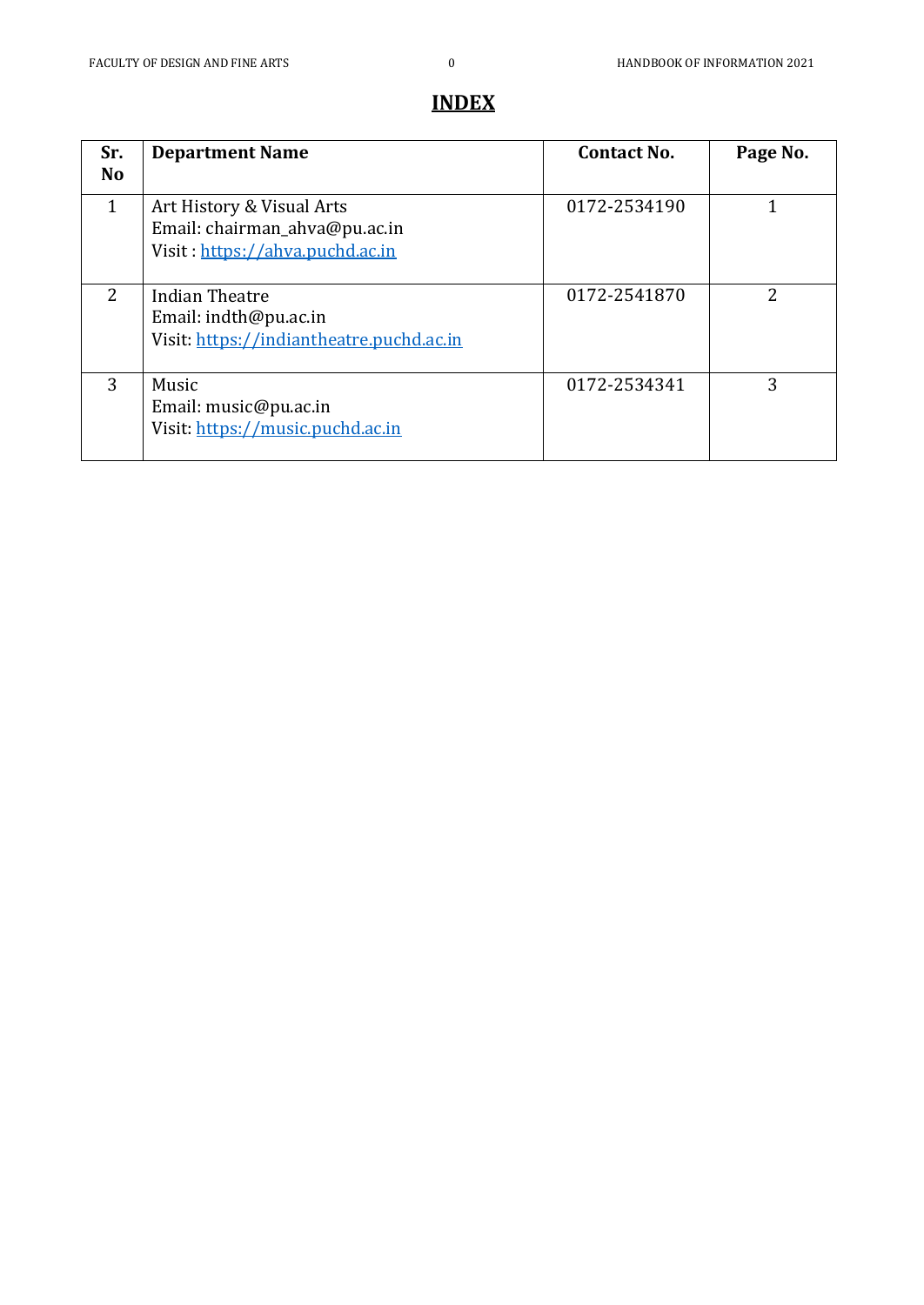# **INDEX**

| Sr.<br><b>No</b> | <b>Department Name</b>                                                                        | <b>Contact No.</b> | Page No. |
|------------------|-----------------------------------------------------------------------------------------------|--------------------|----------|
| 1                | Art History & Visual Arts<br>Email: chairman_ahva@pu.ac.in<br>Visit: https://ahva.puchd.ac.in | 0172-2534190       |          |
| 2                | Indian Theatre<br>Email: indth@pu.ac.in<br>Visit: https://indiantheatre.puchd.ac.in           | 0172-2541870       | 2        |
| 3                | Music<br>Email: music@pu.ac.in<br>Visit: https://music.puchd.ac.in                            | 0172-2534341       | 3        |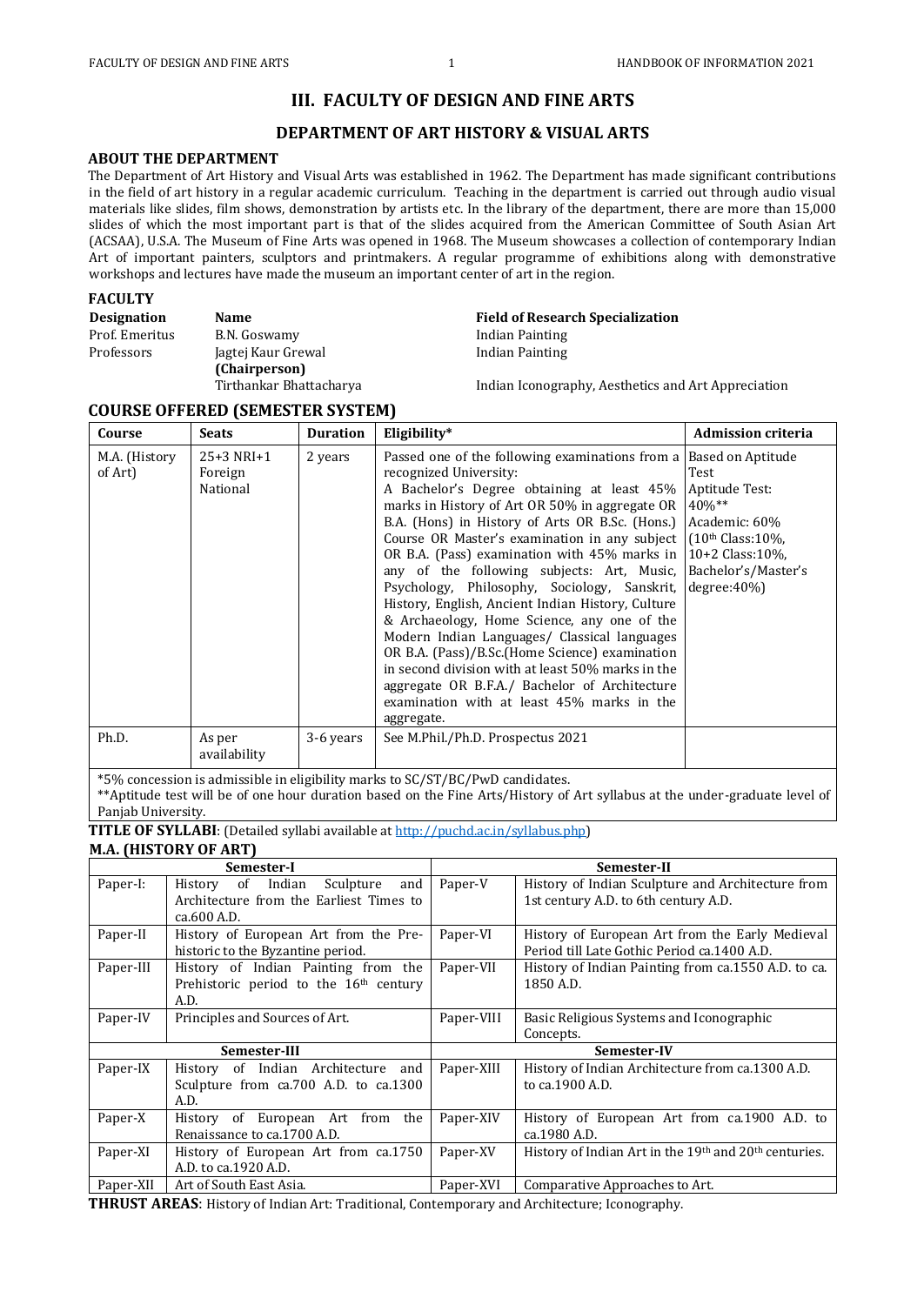## **III. FACULTY OF DESIGN AND FINE ARTS**

### **DEPARTMENT OF ART HISTORY & VISUAL ARTS**

#### **ABOUT THE DEPARTMENT**

The Department of Art History and Visual Arts was established in 1962. The Department has made significant contributions in the field of art history in a regular academic curriculum. Teaching in the department is carried out through audio visual materials like slides, film shows, demonstration by artists etc. In the library of the department, there are more than 15,000 slides of which the most important part is that of the slides acquired from the American Committee of South Asian Art (ACSAA), U.S.A. The Museum of Fine Arts was opened in 1968. The Museum showcases a collection of contemporary Indian Art of important painters, sculptors and printmakers. A regular programme of exhibitions along with demonstrative workshops and lectures have made the museum an important center of art in the region.

#### **FACULTY**

Prof. Emeritus B.N. Goswamy B.N. Goswamy Indian Painting Professors Jagtej Kaur Grewal **(Chairperson)**

**Designation** Name **Name Research Specialization Name Research Specialization** Indian Painting

Tirthankar Bhattacharya Indian Iconography, Aesthetics and Art Appreciation

### **COURSE OFFERED (SEMESTER SYSTEM)**

| Course                   | <b>Seats</b>                        | <b>Duration</b> | Eligibility*                                                                                                                                                                                                                                                                                                                                                                                                                                                                                                                                                                                                                                                                                                                                                                                                                                                                                        | <b>Admission criteria</b>                           |
|--------------------------|-------------------------------------|-----------------|-----------------------------------------------------------------------------------------------------------------------------------------------------------------------------------------------------------------------------------------------------------------------------------------------------------------------------------------------------------------------------------------------------------------------------------------------------------------------------------------------------------------------------------------------------------------------------------------------------------------------------------------------------------------------------------------------------------------------------------------------------------------------------------------------------------------------------------------------------------------------------------------------------|-----------------------------------------------------|
| M.A. (History<br>of Art) | $25+3$ NRI+1<br>Foreign<br>National | 2 years         | Passed one of the following examinations from a Based on Aptitude<br>recognized University:<br>A Bachelor's Degree obtaining at least 45%<br>marks in History of Art OR 50% in aggregate OR<br>B.A. (Hons) in History of Arts OR B.Sc. (Hons.) Academic: 60%<br>Course OR Master's examination in any subject $(10th Class: 109)$ ,<br>OR B.A. (Pass) examination with $45\%$ marks in $10+2$ Class:10%,<br>any of the following subjects: Art, Music, Bachelor's/Master's<br>Psychology, Philosophy, Sociology, Sanskrit,<br>History, English, Ancient Indian History, Culture<br>& Archaeology, Home Science, any one of the<br>Modern Indian Languages/ Classical languages<br>OR B.A. (Pass)/B.Sc. (Home Science) examination<br>in second division with at least 50% marks in the<br>aggregate OR B.F.A./ Bachelor of Architecture<br>examination with at least 45% marks in the<br>aggregate. | Test<br>Aptitude Test:<br>$40\%**$<br>$degree:40\%$ |
| Ph.D.                    | As per<br>availability              | 3-6 years       | See M.Phil./Ph.D. Prospectus 2021                                                                                                                                                                                                                                                                                                                                                                                                                                                                                                                                                                                                                                                                                                                                                                                                                                                                   |                                                     |

\*5% concession is admissible in eligibility marks to SC/ST/BC/PwD candidates.

\*\*Aptitude test will be of one hour duration based on the Fine Arts/History of Art syllabus at the under-graduate level of Panjab University.

**TITLE OF SYLLABI**: (Detailed syllabi available at [http://puchd.ac.in/syllabus.php\)](http://puchd.ac.in/syllabus.php) **M.A. (HISTORY OF ART)** 

|           | Semester-I                                                                       |            | Semester-II                                                                               |
|-----------|----------------------------------------------------------------------------------|------------|-------------------------------------------------------------------------------------------|
| Paper-I:  | History of Indian<br>Sculpture<br>and<br>Architecture from the Earliest Times to | Paper-V    | History of Indian Sculpture and Architecture from<br>1st century A.D. to 6th century A.D. |
|           | ca.600 A.D.                                                                      |            |                                                                                           |
| Paper-II  | History of European Art from the Pre-                                            | Paper-VI   | History of European Art from the Early Medieval                                           |
|           | historic to the Byzantine period.                                                |            | Period till Late Gothic Period ca.1400 A.D.                                               |
| Paper-III | History of Indian Painting from the                                              | Paper-VII  | History of Indian Painting from ca.1550 A.D. to ca.                                       |
|           | Prehistoric period to the 16 <sup>th</sup> century                               |            | 1850 A.D.                                                                                 |
|           | A.D.                                                                             |            |                                                                                           |
| Paper-IV  | Principles and Sources of Art.                                                   | Paper-VIII | Basic Religious Systems and Iconographic                                                  |
|           |                                                                                  |            | Concepts.                                                                                 |
|           | Semester-III                                                                     |            | Semester-IV                                                                               |
| Paper-IX  | History of Indian Architecture and                                               | Paper-XIII | History of Indian Architecture from ca.1300 A.D.                                          |
|           | Sculpture from ca.700 A.D. to ca.1300                                            |            | to ca.1900 A.D.                                                                           |
|           | A.D.                                                                             |            |                                                                                           |
| Paper-X   | History of European Art from the                                                 | Paper-XIV  | History of European Art from ca.1900 A.D. to                                              |
|           | Renaissance to ca.1700 A.D.                                                      |            | ca.1980 A.D.                                                                              |
| Paper-XI  | History of European Art from ca.1750                                             | Paper-XV   | History of Indian Art in the 19th and 20th centuries.                                     |
|           | A.D. to ca.1920 A.D.                                                             |            |                                                                                           |
| Paper-XII | Art of South East Asia.                                                          | Paper-XVI  | Comparative Approaches to Art.                                                            |

**THRUST AREAS**: History of Indian Art: Traditional, Contemporary and Architecture; Iconography.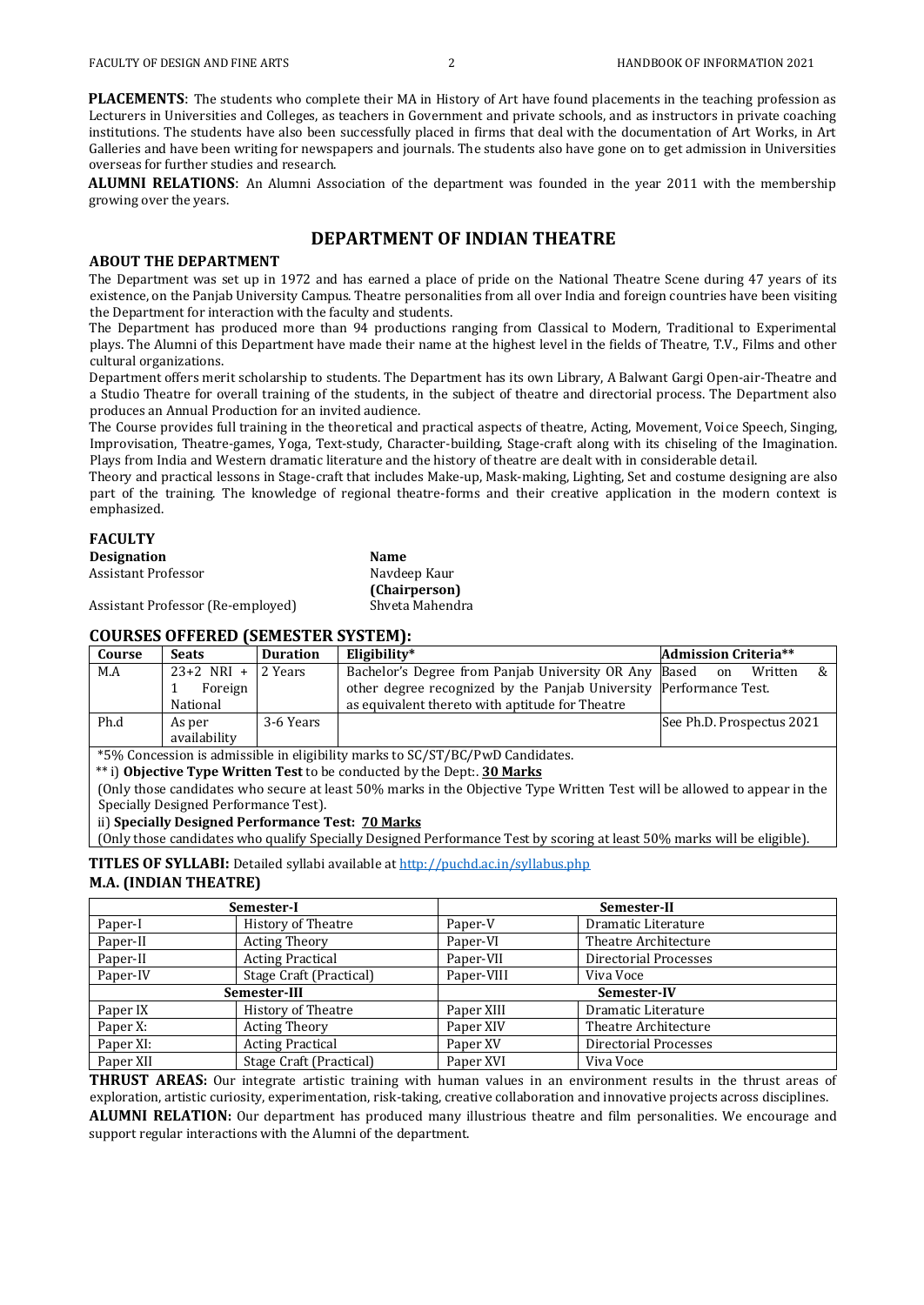**PLACEMENTS:** The students who complete their MA in History of Art have found placements in the teaching profession as Lecturers in Universities and Colleges, as teachers in Government and private schools, and as instructors in private coaching institutions. The students have also been successfully placed in firms that deal with the documentation of Art Works, in Art Galleries and have been writing for newspapers and journals. The students also have gone on to get admission in Universities overseas for further studies and research.

**ALUMNI RELATIONS**: An Alumni Association of the department was founded in the year 2011 with the membership growing over the years.

#### **DEPARTMENT OF INDIAN THEATRE**

#### **ABOUT THE DEPARTMENT**

The Department was set up in 1972 and has earned a place of pride on the National Theatre Scene during 47 years of its existence, on the Panjab University Campus. Theatre personalities from all over India and foreign countries have been visiting the Department for interaction with the faculty and students.

The Department has produced more than 94 productions ranging from Classical to Modern, Traditional to Experimental plays. The Alumni of this Department have made their name at the highest level in the fields of Theatre, T.V., Films and other cultural organizations.

Department offers merit scholarship to students. The Department has its own Library, A Balwant Gargi Open-air-Theatre and a Studio Theatre for overall training of the students, in the subject of theatre and directorial process. The Department also produces an Annual Production for an invited audience.

The Course provides full training in the theoretical and practical aspects of theatre, Acting, Movement, Voice Speech, Singing, Improvisation, Theatre-games, Yoga, Text-study, Character-building, Stage-craft along with its chiseling of the Imagination. Plays from India and Western dramatic literature and the history of theatre are dealt with in considerable detail.

Theory and practical lessons in Stage-craft that includes Make-up, Mask-making, Lighting, Set and costume designing are also part of the training. The knowledge of regional theatre-forms and their creative application in the modern context is emphasized.

#### **FACULTY**

| <b>Designation</b>                | Name            |
|-----------------------------------|-----------------|
| Assistant Professor               | Navdeep Kaur    |
|                                   | (Chairperson)   |
| Assistant Professor (Re-employed) | Shveta Mahendra |

## **COURSES OFFERED (SEMESTER SYSTEM):**

| Course                                                                        | <b>Seats</b>           | <b>Duration</b> | Eligibility*                                                       | <b>Admission Criteria**</b> |  |
|-------------------------------------------------------------------------------|------------------------|-----------------|--------------------------------------------------------------------|-----------------------------|--|
| M.A                                                                           | $23+2$ NRI +           | 2 Years         | Bachelor's Degree from Panjab University OR Any Based              | &<br>Written<br>on          |  |
|                                                                               | Foreign                |                 | other degree recognized by the Panjab University Performance Test. |                             |  |
|                                                                               | National               |                 | as equivalent thereto with aptitude for Theatre                    |                             |  |
| Ph.d                                                                          | As per<br>availability | 3-6 Years       |                                                                    | See Ph.D. Prospectus 2021   |  |
| *5% Concession is admissible in eligibility marks to SC/ST/BC/PwD Candidates. |                        |                 |                                                                    |                             |  |

\*\* i) **Objective Type Written Test** to be conducted by the Dept:. **30 Marks** 

(Only those candidates who secure at least 50% marks in the Objective Type Written Test will be allowed to appear in the Specially Designed Performance Test).

#### ii) **Specially Designed Performance Test: 70 Marks**

(Only those candidates who qualify Specially Designed Performance Test by scoring at least 50% marks will be eligible).

**TITLES OF SYLLABI:** Detailed syllabi available a[t http://puchd.ac.in/syllabus.php](http://puchd.ac.in/syllabus.php)

#### **M.A. (INDIAN THEATRE)**

|           | Semester-I              |            | Semester-II           |  |  |
|-----------|-------------------------|------------|-----------------------|--|--|
| Paper-I   | History of Theatre      | Paper-V    | Dramatic Literature   |  |  |
| Paper-II  | <b>Acting Theory</b>    | Paper-VI   | Theatre Architecture  |  |  |
| Paper-II  | <b>Acting Practical</b> | Paper-VII  | Directorial Processes |  |  |
| Paper-IV  | Stage Craft (Practical) | Paper-VIII | Viva Voce             |  |  |
|           | Semester-III            |            | Semester-IV           |  |  |
| Paper IX  | History of Theatre      | Paper XIII | Dramatic Literature   |  |  |
| Paper X:  | <b>Acting Theory</b>    | Paper XIV  | Theatre Architecture  |  |  |
| Paper XI: | <b>Acting Practical</b> | Paper XV   | Directorial Processes |  |  |
| Paper XII | Stage Craft (Practical) | Paper XVI  | Viva Voce             |  |  |

**THRUST AREAS:** Our integrate artistic training with human values in an environment results in the thrust areas of exploration, artistic curiosity, experimentation, risk-taking, creative collaboration and innovative projects across disciplines.

**ALUMNI RELATION:** Our department has produced many illustrious theatre and film personalities. We encourage and support regular interactions with the Alumni of the department.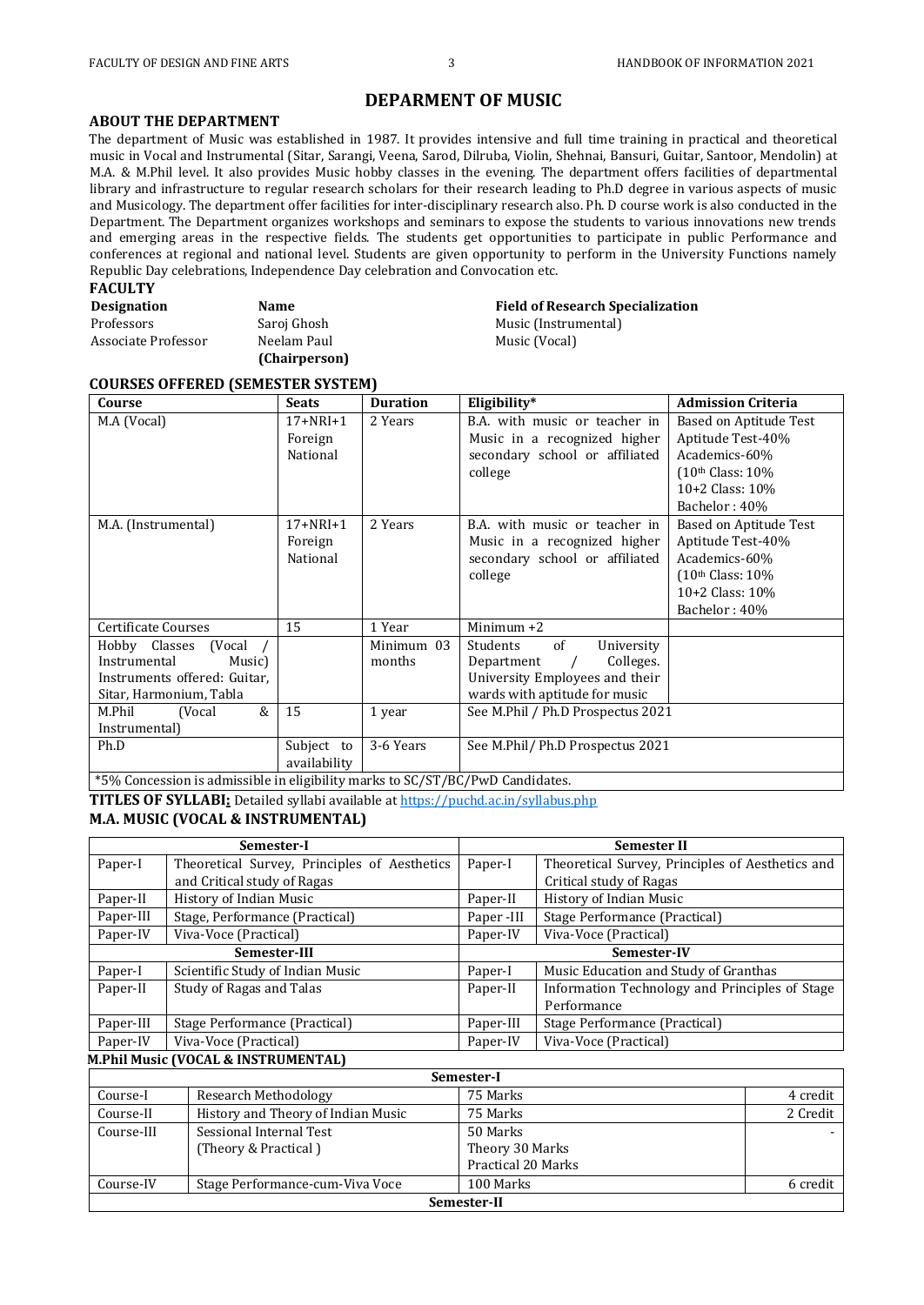## **DEPARMENT OF MUSIC**

#### **ABOUT THE DEPARTMENT**

The department of Music was established in 1987. It provides intensive and full time training in practical and theoretical music in Vocal and Instrumental (Sitar, Sarangi, Veena, Sarod, Dilruba, Violin, Shehnai, Bansuri, Guitar, Santoor, Mendolin) at M.A. & M.Phil level. It also provides Music hobby classes in the evening. The department offers facilities of departmental library and infrastructure to regular research scholars for their research leading to Ph.D degree in various aspects of music and Musicology. The department offer facilities for inter-disciplinary research also. Ph. D course work is also conducted in the Department. The Department organizes workshops and seminars to expose the students to various innovations new trends and emerging areas in the respective fields. The students get opportunities to participate in public Performance and conferences at regional and national level. Students are given opportunity to perform in the University Functions namely Republic Day celebrations, Independence Day celebration and Convocation etc.

**Field of Research Specialization** 

Music (Instrumental) Music (Vocal)

#### **FACULTY**

| <b>Designation</b>  | Name          |
|---------------------|---------------|
| Professors          | Saroj Ghosh   |
| Associate Professor | Neelam Paul   |
|                     | (Chairperson) |

#### **COURSES OFFERED (SEMESTER SYSTEM)**

| Course                                                                                                    | <b>Seats</b>                          | <b>Duration</b>      | Eligibility*                                                                                                                             | <b>Admission Criteria</b>                                                                                                    |
|-----------------------------------------------------------------------------------------------------------|---------------------------------------|----------------------|------------------------------------------------------------------------------------------------------------------------------------------|------------------------------------------------------------------------------------------------------------------------------|
| M.A (Vocal)                                                                                               | $17+NRI+1$<br>Foreign<br>National     | 2 Years              | B.A. with music or teacher in<br>Music in a recognized higher<br>secondary school or affiliated<br>college                               | Based on Aptitude Test<br>Aptitude Test-40%<br>Academics-60%<br>(10th Class: 10%<br>$10+2$ Class: $10%$<br>Bachelor: 40%     |
| M.A. (Instrumental)                                                                                       | $17 + NRI + 1$<br>Foreign<br>National | 2 Years              | B.A. with music or teacher in<br>Music in a recognized higher<br>secondary school or affiliated<br>college                               | Based on Aptitude Test<br>Aptitude Test-40%<br>Academics-60%<br>$(10th Class: 109)$<br>$10+2$ Class: $10\%$<br>Bachelor: 40% |
| Certificate Courses                                                                                       | 15                                    | 1 Year               | Minimum $+2$                                                                                                                             |                                                                                                                              |
| Hobby Classes (Vocal<br>Instrumental<br>Music)<br>Instruments offered: Guitar,<br>Sitar, Harmonium, Tabla |                                       | Minimum 03<br>months | of<br>Students<br>University<br>Colleges.<br>Department<br>$\sqrt{ }$<br>University Employees and their<br>wards with aptitude for music |                                                                                                                              |
| &<br>M.Phil<br>(Vocal<br>Instrumental)                                                                    | 15                                    | 1 year               | See M.Phil / Ph.D Prospectus 2021                                                                                                        |                                                                                                                              |
| Ph.D                                                                                                      | Subject to<br>availability            | 3-6 Years            | See M.Phil/ Ph.D Prospectus 2021                                                                                                         |                                                                                                                              |
| *5% Concession is admissible in eligibility marks to SC/ST/BC/PwD Candidates.                             |                                       |                      |                                                                                                                                          |                                                                                                                              |

**TITLES OF SYLLABI:** Detailed syllabi available a[t https://puchd.ac.in/syllabus.php](https://puchd.ac.in/syllabus.php)

#### **M.A. MUSIC (VOCAL & INSTRUMENTAL)**

|           | Semester-I                                   | <b>Semester II</b>                                          |                                       |  |
|-----------|----------------------------------------------|-------------------------------------------------------------|---------------------------------------|--|
| Paper-I   | Theoretical Survey, Principles of Aesthetics | Theoretical Survey, Principles of Aesthetics and<br>Paper-I |                                       |  |
|           | and Critical study of Ragas                  |                                                             | Critical study of Ragas               |  |
| Paper-II  | History of Indian Music                      | Paper-II                                                    | History of Indian Music               |  |
| Paper-III | Stage, Performance (Practical)               | Paper-III                                                   | Stage Performance (Practical)         |  |
| Paper-IV  | Viva-Voce (Practical)                        | Paper-IV                                                    | Viva-Voce (Practical)                 |  |
|           | Semester-III                                 | Semester-IV                                                 |                                       |  |
| Paper-I   | Scientific Study of Indian Music             | Paper-I                                                     | Music Education and Study of Granthas |  |
| Paper-II  | Study of Ragas and Talas                     | Information Technology and Principles of Stage<br>Paper-II  |                                       |  |
|           |                                              |                                                             | Performance                           |  |
| Paper-III | Stage Performance (Practical)                | Paper-III                                                   | Stage Performance (Practical)         |  |
| Paper-IV  | Viva-Voce (Practical)                        | Paper-IV                                                    | Viva-Voce (Practical)                 |  |

#### **M.Phil Music (VOCAL & INSTRUMENTAL) Semester-I** Course-I Research Methodology 75 Marks 2008 1999 12:30 Acredit Course-II History and Theory of Indian Music 75 Marks 2 Credit Course-III Sessional Internal Test (Theory & Practical ) 50 Marks Theory 30 Marks Practical 20 Marks - Course-IV Stage Performance-cum-Viva Voce 100 Marks 100 Marks 6 credit **Semester-II**